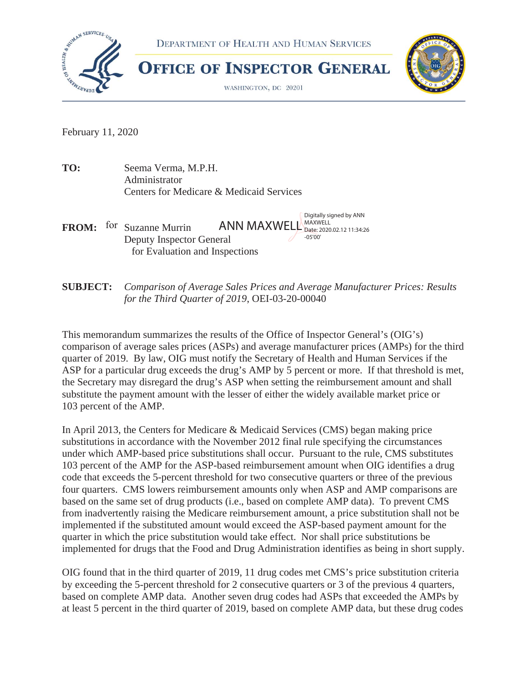

February 11, 2020

**TO:** Seema Verma, M.P.H. Administrator Centers for Medicare & Medicaid Services

Digitally signed by ANN FROM: for Suzanne Murrin ANN MAXWELL Date: 2020.02.12 11:34:26 Deputy Inspector General for Evaluation and Inspections

**SUBJECT:** *Comparison of Average Sales Prices and Average Manufacturer Prices: Results for the Third Quarter of 2019*, OEI-03-20-00040

This memorandum summarizes the results of the Office of Inspector General's (OIG's) comparison of average sales prices (ASPs) and average manufacturer prices (AMPs) for the third quarter of 2019. By law, OIG must notify the Secretary of Health and Human Services if the ASP for a particular drug exceeds the drug's AMP by 5 percent or more. If that threshold is met, the Secretary may disregard the drug's ASP when setting the reimbursement amount and shall substitute the payment amount with the lesser of either the widely available market price or 103 percent of the AMP.

In April 2013, the Centers for Medicare & Medicaid Services (CMS) began making price substitutions in accordance with the November 2012 final rule specifying the circumstances under which AMP-based price substitutions shall occur. Pursuant to the rule, CMS substitutes 103 percent of the AMP for the ASP-based reimbursement amount when OIG identifies a drug code that exceeds the 5-percent threshold for two consecutive quarters or three of the previous four quarters. CMS lowers reimbursement amounts only when ASP and AMP comparisons are based on the same set of drug products (i.e., based on complete AMP data). To prevent CMS from inadvertently raising the Medicare reimbursement amount, a price substitution shall not be implemented if the substituted amount would exceed the ASP-based payment amount for the quarter in which the price substitution would take effect. Nor shall price substitutions be implemented for drugs that the Food and Drug Administration identifies as being in short supply.

OIG found that in the third quarter of 2019, 11 drug codes met CMS's price substitution criteria by exceeding the 5-percent threshold for 2 consecutive quarters or 3 of the previous 4 quarters, based on complete AMP data. Another seven drug codes had ASPs that exceeded the AMPs by at least 5 percent in the third quarter of 2019, based on complete AMP data, but these drug codes